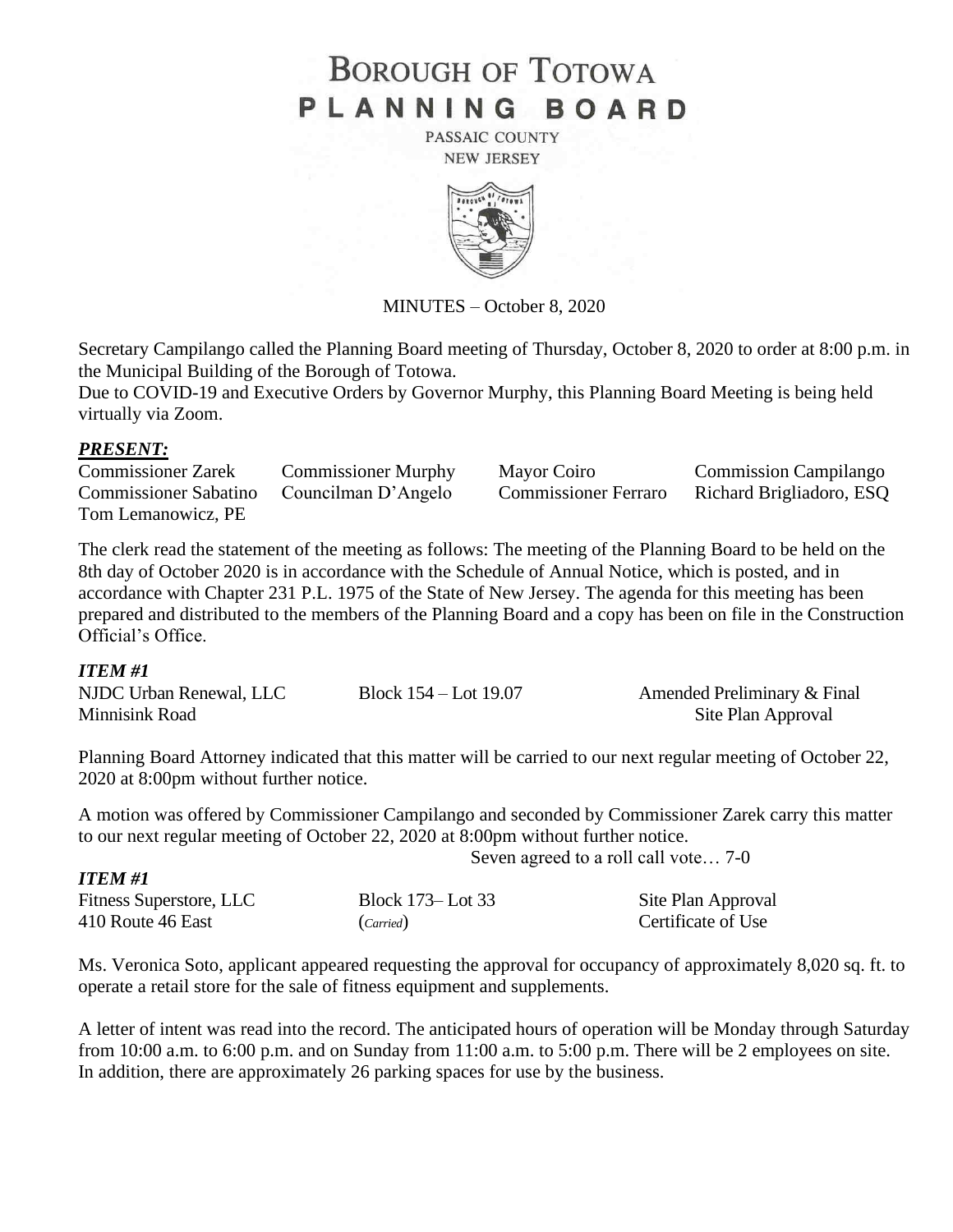# **BOROUGH OF TOTOWA** PLANNING BOARD

PASSAIC COUNTY **NEW JERSEY** 



MINUTES – October 8, 2020

Secretary Campilango called the Planning Board meeting of Thursday, October 8, 2020 to order at 8:00 p.m. in the Municipal Building of the Borough of Totowa.

Due to COVID-19 and Executive Orders by Governor Murphy, this Planning Board Meeting is being held virtually via Zoom.

#### *PRESENT:*

| <b>Commissioner Zarek</b>    | <b>Commissioner Murphy</b> | Mayor Coiro                 | <b>Commission Campilango</b> |
|------------------------------|----------------------------|-----------------------------|------------------------------|
| <b>Commissioner Sabatino</b> | Councilman D'Angelo        | <b>Commissioner Ferraro</b> | Richard Brigliadoro, ESQ     |
| Tom Lemanowicz, PE           |                            |                             |                              |

The clerk read the statement of the meeting as follows: The meeting of the Planning Board to be held on the 8th day of October 2020 is in accordance with the Schedule of Annual Notice, which is posted, and in accordance with Chapter 231 P.L. 1975 of the State of New Jersey. The agenda for this meeting has been prepared and distributed to the members of the Planning Board and a copy has been on file in the Construction Official's Office.

#### *ITEM #1*

| NJDC Urban Renewal, LLC | Block $154 -$ Lot $19.07$ | Amended Preliminary & Final |
|-------------------------|---------------------------|-----------------------------|
| Minnisink Road          |                           | Site Plan Approval          |

Planning Board Attorney indicated that this matter will be carried to our next regular meeting of October 22, 2020 at 8:00pm without further notice.

A motion was offered by Commissioner Campilango and seconded by Commissioner Zarek carry this matter to our next regular meeting of October 22, 2020 at 8:00pm without further notice.

Seven agreed to a roll call vote… 7-0

| <b>ITEM#1</b>           |                   |                    |
|-------------------------|-------------------|--------------------|
| Fitness Superstore, LLC | Block 173– Lot 33 | Site Plan Approval |
| 410 Route 46 East       | (Carried)         | Certificate of Use |

Ms. Veronica Soto, applicant appeared requesting the approval for occupancy of approximately 8,020 sq. ft. to operate a retail store for the sale of fitness equipment and supplements.

A letter of intent was read into the record. The anticipated hours of operation will be Monday through Saturday from 10:00 a.m. to 6:00 p.m. and on Sunday from 11:00 a.m. to 5:00 p.m. There will be 2 employees on site. In addition, there are approximately 26 parking spaces for use by the business.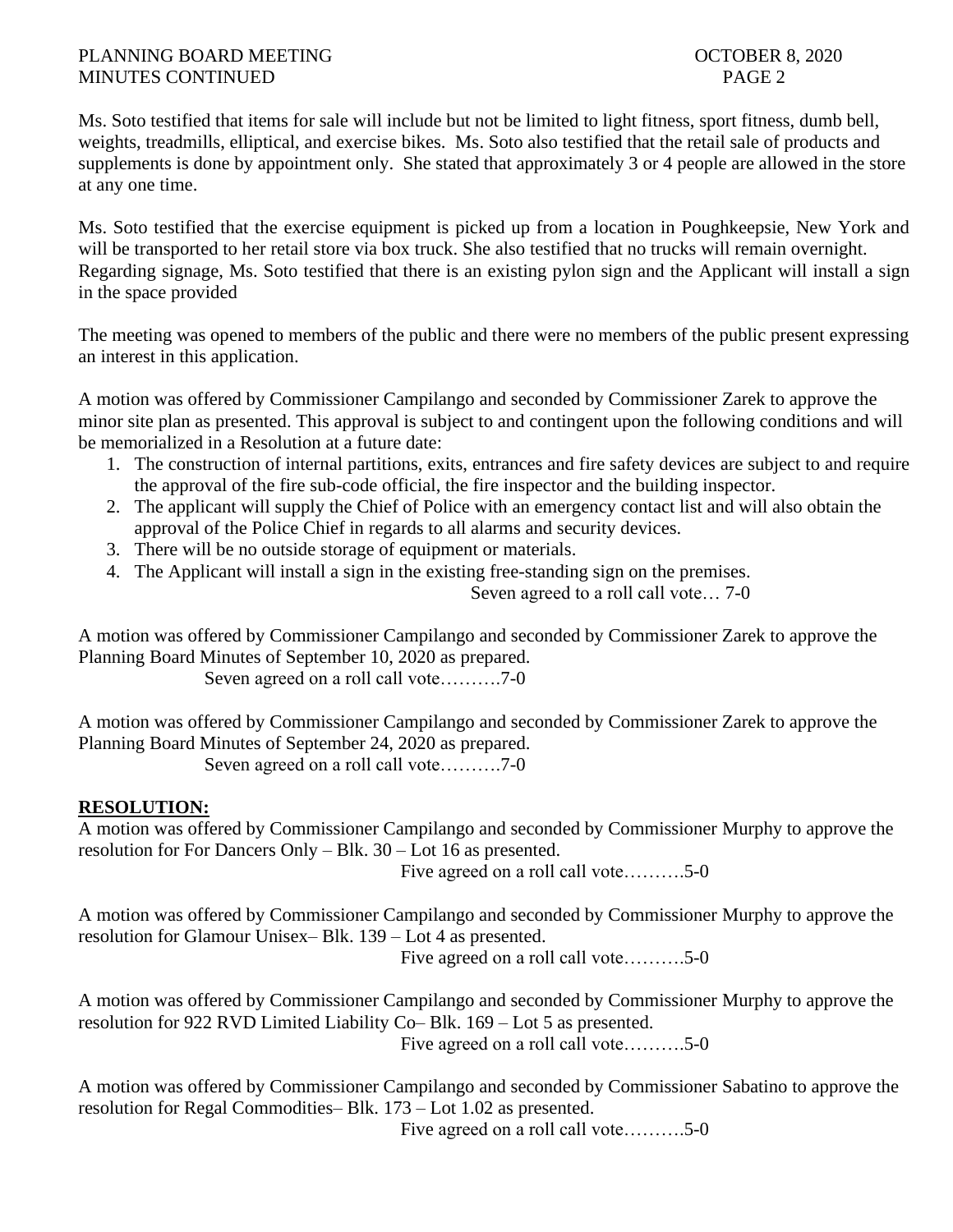## PLANNING BOARD MEETING **DEEPING COLLEGER 8.2020** MINUTES CONTINUED PAGE 2

Ms. Soto testified that items for sale will include but not be limited to light fitness, sport fitness, dumb bell, weights, treadmills, elliptical, and exercise bikes. Ms. Soto also testified that the retail sale of products and supplements is done by appointment only. She stated that approximately 3 or 4 people are allowed in the store at any one time.

Ms. Soto testified that the exercise equipment is picked up from a location in Poughkeepsie, New York and will be transported to her retail store via box truck. She also testified that no trucks will remain overnight. Regarding signage, Ms. Soto testified that there is an existing pylon sign and the Applicant will install a sign in the space provided

The meeting was opened to members of the public and there were no members of the public present expressing an interest in this application.

A motion was offered by Commissioner Campilango and seconded by Commissioner Zarek to approve the minor site plan as presented. This approval is subject to and contingent upon the following conditions and will be memorialized in a Resolution at a future date:

- 1. The construction of internal partitions, exits, entrances and fire safety devices are subject to and require the approval of the fire sub-code official, the fire inspector and the building inspector.
- 2. The applicant will supply the Chief of Police with an emergency contact list and will also obtain the approval of the Police Chief in regards to all alarms and security devices.
- 3. There will be no outside storage of equipment or materials.
- 4. The Applicant will install a sign in the existing free-standing sign on the premises.

Seven agreed to a roll call vote… 7-0

A motion was offered by Commissioner Campilango and seconded by Commissioner Zarek to approve the Planning Board Minutes of September 10, 2020 as prepared.

Seven agreed on a roll call vote……….7-0

A motion was offered by Commissioner Campilango and seconded by Commissioner Zarek to approve the Planning Board Minutes of September 24, 2020 as prepared.

Seven agreed on a roll call vote……….7-0

# **RESOLUTION:**

A motion was offered by Commissioner Campilango and seconded by Commissioner Murphy to approve the resolution for For Dancers Only – Blk. 30 – Lot 16 as presented.

Five agreed on a roll call vote……….5-0

A motion was offered by Commissioner Campilango and seconded by Commissioner Murphy to approve the resolution for Glamour Unisex– Blk. 139 – Lot 4 as presented.

Five agreed on a roll call vote……….5-0

A motion was offered by Commissioner Campilango and seconded by Commissioner Murphy to approve the resolution for 922 RVD Limited Liability Co– Blk. 169 – Lot 5 as presented. Five agreed on a roll call vote……….5-0

A motion was offered by Commissioner Campilango and seconded by Commissioner Sabatino to approve the resolution for Regal Commodities– Blk. 173 – Lot 1.02 as presented.

Five agreed on a roll call vote……….5-0